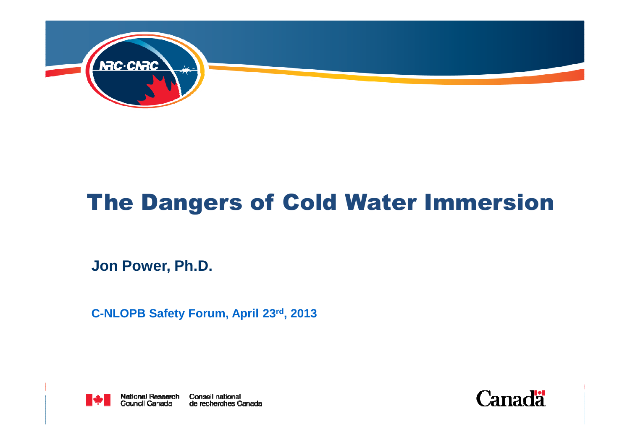

#### The Dangers of Cold Water Immersion

**Jon Power, Ph.D.**

**C-NLOPB Safety Forum, April 23rd, 2013**



**National Research Conseil national<br>Council Canada de recherches Canada** 

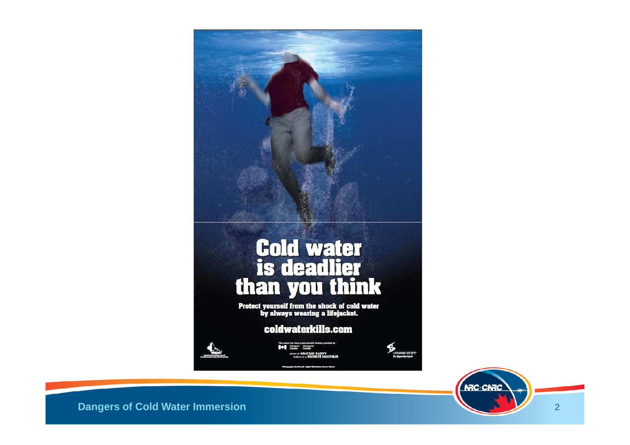

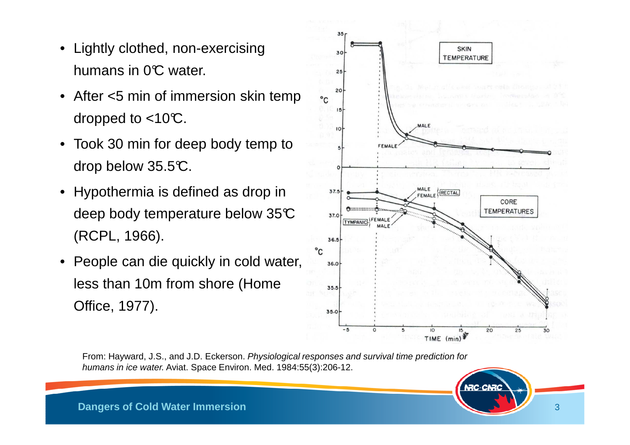- Lightly clothed, non-exercising humans in  $0^\circ$ C water.
- After <5 min of immersion skin temp dropped to  $<$ 10°C.
- Took 30 min for deep body temp to drop below 35.5°C.
- Hypothermia is defined as drop in deep body temperature below 35°C (RCPL, 1966).
- People can die quickly in cold water, less than 10m from shore (Home Office, 1977).



From: Hayward, J.S., and J.D. Eckerson. Physiological responses and survival time prediction for humans in ice water. Aviat. Space Environ. Med. 1984:55(3):206-12.

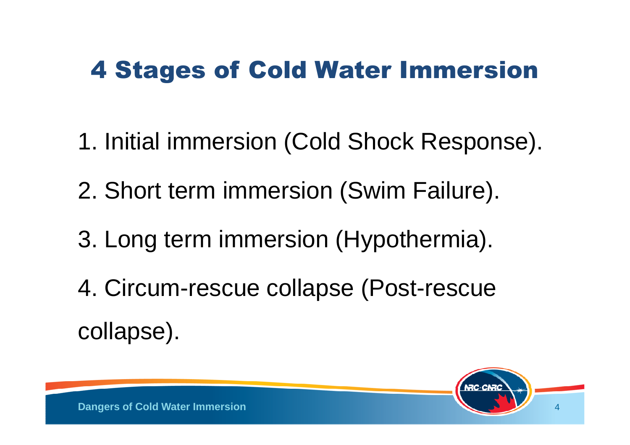- 1. Initial immersion (Cold Shock Response).
- 2. Short term immersion (Swim Failure).
- 3. Long term immersion (Hypothermia).
- 4. Circum-rescue collapse (Post-rescue collapse).

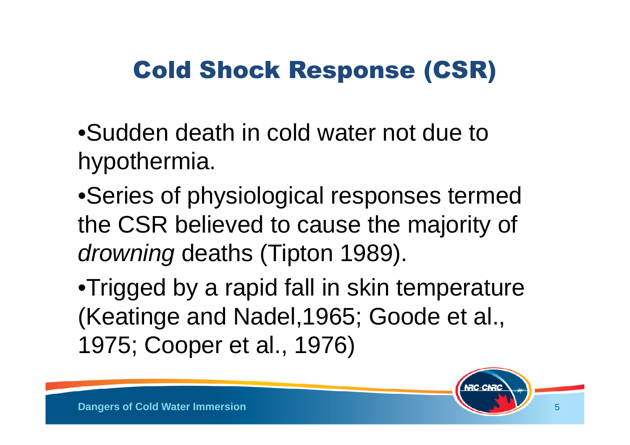# Cold Shock Response (CSR)

•Sudden death in cold water not due to hypothermia.

•Series of physiological responses termed the CSR believed to cause the majority of drowning deaths (Tipton 1989).

•Trigged by a rapid fall in skin temperature (Keatinge and Nadel,1965; Goode et al., 1975; Cooper et al., 1976)

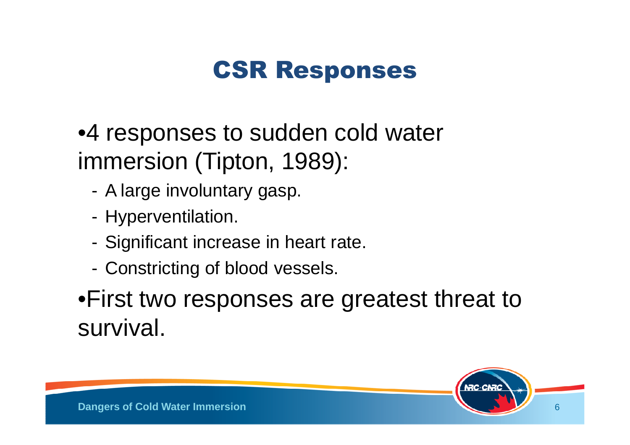### CSR Responses

•4 responses to sudden cold water immersion (Tipton, 1989):

- -A large involuntary gasp.
- -Hyperventilation.
- -Significant increase in heart rate.
- -Constricting of blood vessels.

#### •First two responses are greatest threat to survival.

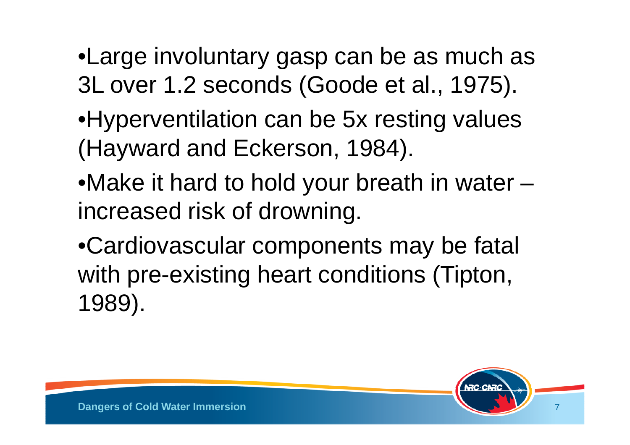- •Large involuntary gasp can be as much as 3L over 1.2 seconds (Goode et al., 1975).
- •Hyperventilation can be 5x resting values (Hayward and Eckerson, 1984).
- •Make it hard to hold your breath in water –increased risk of drowning.
- •Cardiovascular components may be fatal with pre-existing heart conditions (Tipton, 1989).

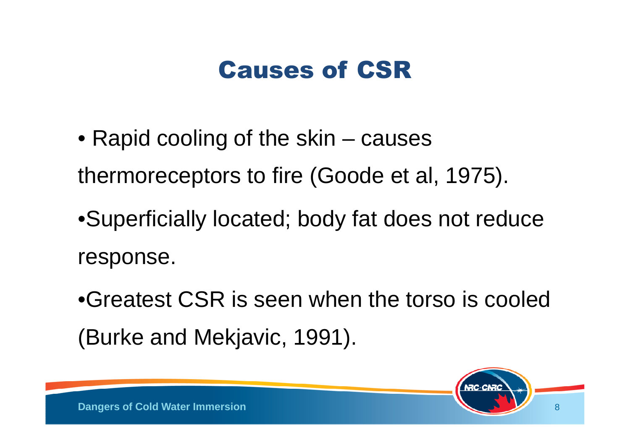#### Causes of CSR

- Rapid cooling of the skin causes thermoreceptors to fire (Goode et al, 1975).
- •Superficially located; body fat does not reduce response.
- •Greatest CSR is seen when the torso is cooled (Burke and Mekjavic, 1991).

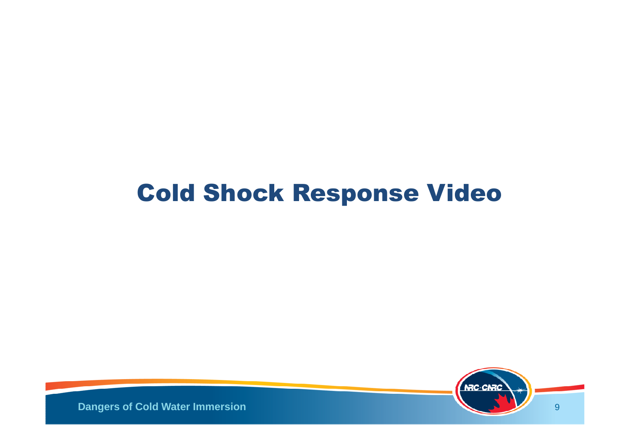#### Cold Shock Response Video

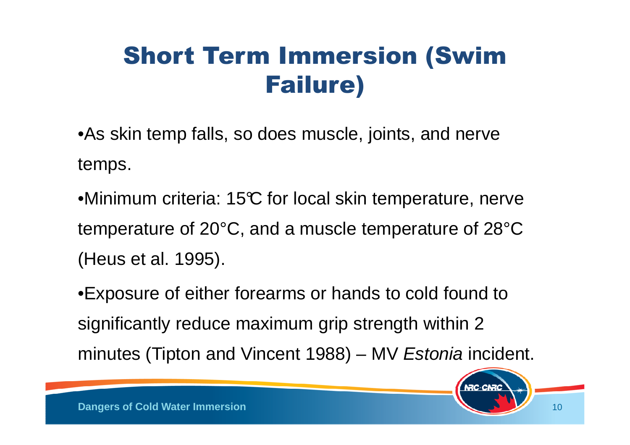# Short Term Immersion (Swim Failure)

- •As skin temp falls, so does muscle, joints, and nerve temps.
- •Minimum criteria: 15°C for local skin temperature, nerve temperature of 20°C, and a muscle temperature of 28°C (Heus et al. 1995).
- •Exposure of either forearms or hands to cold found to significantly reduce maximum grip strength within 2 minutes (Tipton and Vincent 1988) – MV Estonia incident.

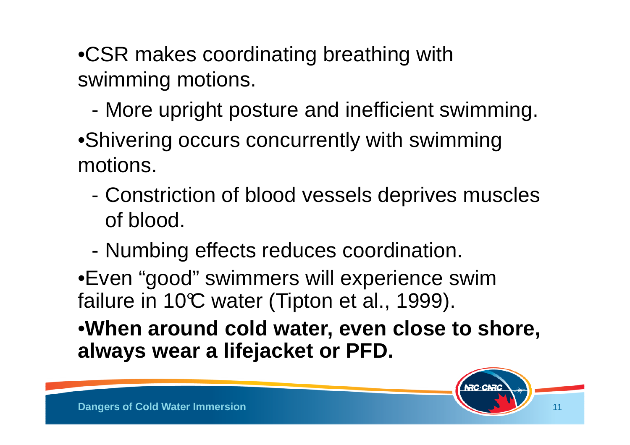•CSR makes coordinating breathing with swimming motions.

-More upright posture and inefficient swimming.

•Shivering occurs concurrently with swimming motions.

- Constriction of blood vessels deprives muscles of blood.
- Numbing effects reduces coordination.

•Even "good" swimmers will experience swim failure in 10 $\mathbb C$  water (Tipton et al., 1999).

•**When around cold water, even close to shore, always wear a lifejacket or PFD.**

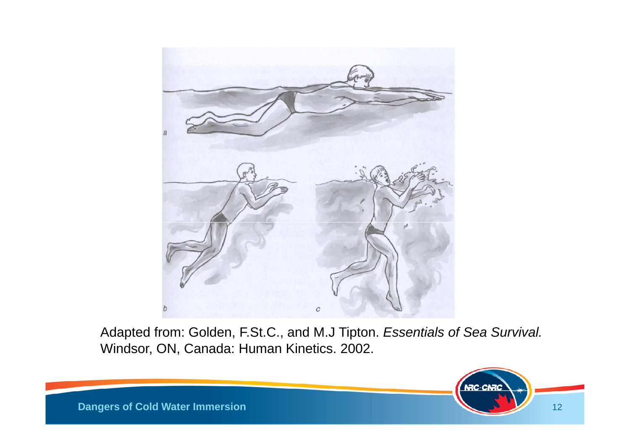

Adapted from: Golden, F.St.C., and M.J Tipton. Essentials of Sea Survival.Windsor, ON, Canada: Human Kinetics. 2002.

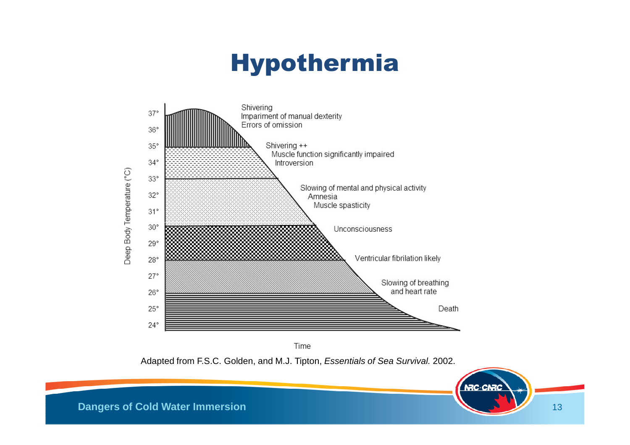# Hypothermia



Time

Adapted from F.S.C. Golden, and M.J. Tipton, *Essentials of Sea Survival.* 2002.

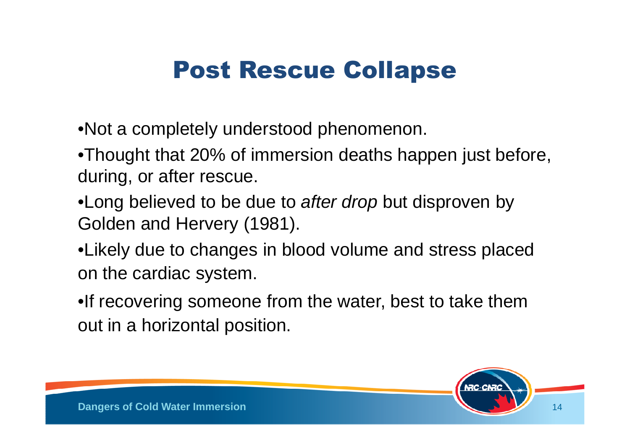#### Post Rescue Collapse

- •Not a completely understood phenomenon.
- •Thought that 20% of immersion deaths happen just before, during, or after rescue.
- •Long believed to be due to after drop but disproven by Golden and Hervery (1981).
- •Likely due to changes in blood volume and stress placed on the cardiac system.
- •If recovering someone from the water, best to take them out in a horizontal position.

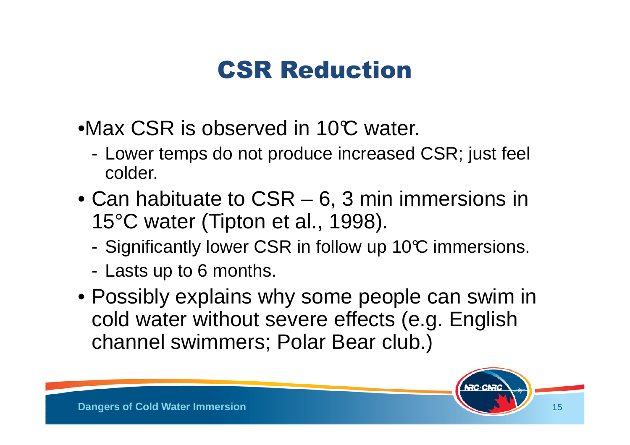#### CSR Reduction

- •Max CSR is observed in 10°C water.
	- - Lower temps do not produce increased CSR; just feel colder.
- Can habituate to CSR 6, 3 min immersions in 15°C water (Tipton et al., 1998).
	- -Significantly lower CSR in follow up 10°C immersions.
	- Lasts up to 6 months.
- Possibly explains why some people can swim in cold water without severe effects (e.g. English channel swimmers; Polar Bear club.)

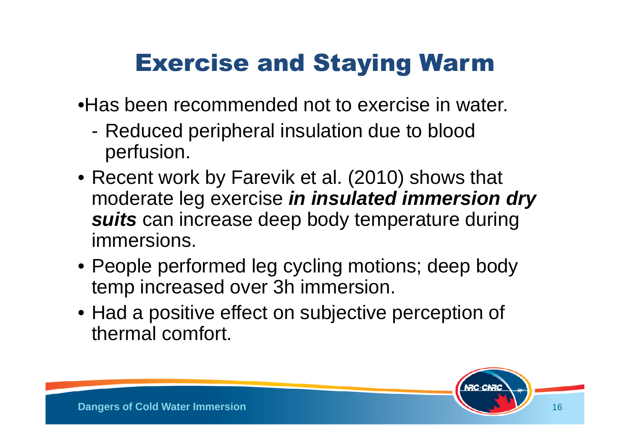# Exercise and Staying Warm

•Has been recommended not to exercise in water.

- Reduced peripheral insulation due to blood perfusion.
- Recent work by Farevik et al. (2010) shows that moderate leg exercise **in insulated immersion dry suits** can increase deep body temperature during immersions.
- People performed leg cycling motions; deep body temp increased over 3h immersion.
- Had a positive effect on subjective perception of thermal comfort.

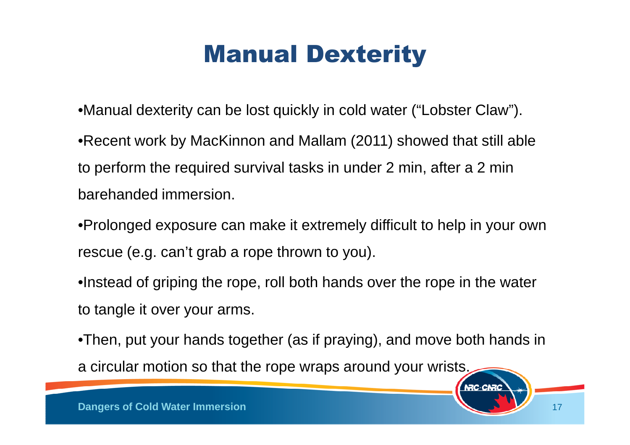# Manual Dexterity

•Manual dexterity can be lost quickly in cold water ("Lobster Claw").•Recent work by MacKinnon and Mallam (2011) showed that still able to perform the required survival tasks in under 2 min, after a 2 min barehanded immersion.

•Prolonged exposure can make it extremely difficult to help in your own rescue (e.g. can't grab a rope thrown to you).

•Instead of griping the rope, roll both hands over the rope in the water to tangle it over your arms.

•Then, put your hands together (as if praying), and move both hands in a circular motion so that the rope wraps around your wrists.

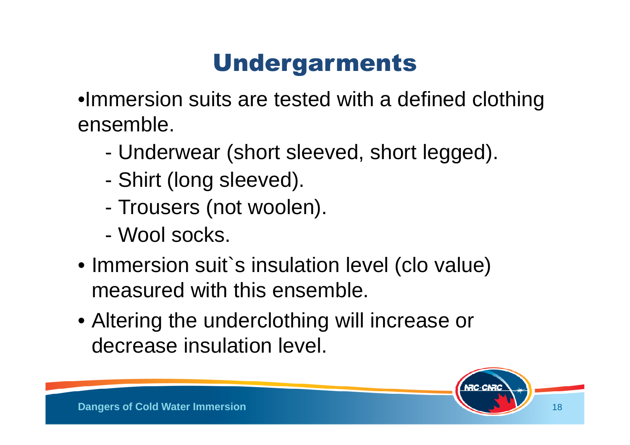# Undergarments

•Immersion suits are tested with a defined clothingensemble.

- Underwear (short sleeved, short legged).
- -Shirt (long sleeved).
- Trousers (not woolen).
- Wool socks.
- Immersion suit`s insulation level (clo value) measured with this ensemble.
- Altering the underclothing will increase or decrease insulation level.

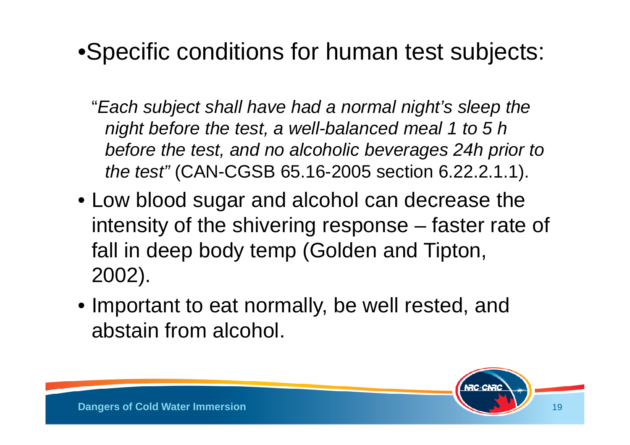#### •Specific conditions for human test subjects:

- "Each subject shall have had a normal night's sleep the night before the test, a well-balanced meal 1 to 5 h before the test, and no alcoholic beverages 24h prior tothe test" (CAN-CGSB 65.16-2005 section 6.22.2.1.1).
- Low blood sugar and alcohol can decrease the intensity of the shivering response –– faster rate of<br>. – fall in deep body temp (Golden and Tipton, 2002).
- Important to eat normally, be well rested, and abstain from alcohol.

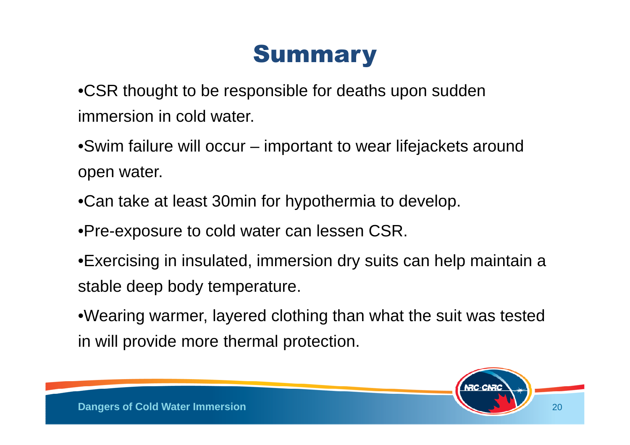#### **Summary**

•CSR thought to be responsible for deaths upon sudden immersion in cold water.

•Swim failure will occur – important to wear lifejackets around open water.

•Can take at least 30min for hypothermia to develop.

•Pre-exposure to cold water can lessen CSR.

•Exercising in insulated, immersion dry suits can help maintain a stable deep body temperature.

•Wearing warmer, layered clothing than what the suit was tested in will provide more thermal protection.

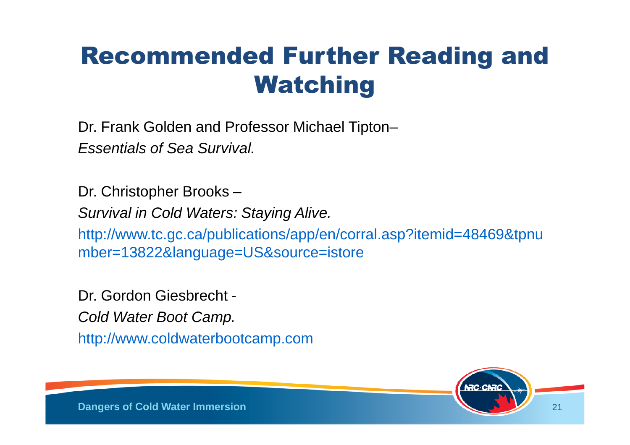#### Recommended Further Reading and Watching

Dr. Frank Golden and Professor Michael Tipton–Essentials of Sea Survival.

Dr. Christopher Brooks –Survival in Cold Waters: Staying Alive. http://www.tc.gc.ca/publications/app/en/corral.asp?itemid=48469&tpnumber=13822&language=US&source=istore

Dr. Gordon Giesbrecht -Cold Water Boot Camp. http://www.coldwaterbootcamp.com

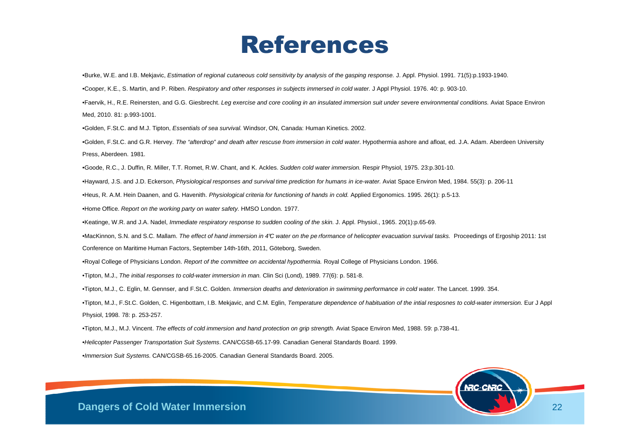#### References

•Burke, W.E. and I.B. Mekjavic, Estimation of regional cutaneous cold sensitivity by analysis of the gasping response. J. Appl. Physiol. 1991. 71(5):p.1933-1940.

•Cooper, K.E., S. Martin, and P. Riben. Respiratory and other responses in subjects immersed in cold water. J Appl Physiol. 1976. 40: p. 903-10.

•Faervik, H., R.E. Reinersten, and G.G. Giesbrecht. *Leg exercise and core cooling in an insulated immersion suit under severe environmental conditions.* Aviat Space Environ Med, 2010. 81: p.993-1001.

•Golden, F.St.C. and M.J. Tipton, Essentials of sea survival. Windsor, ON, Canada: Human Kinetics. 2002.

•Golden, F.St.C. and G.R. Hervey. The "afterdrop" and death after rescuse from immersion in cold water. Hypothermia ashore and afloat, ed. J.A. Adam. Aberdeen University Press, Aberdeen. 1981.

•Goode, R.C., J. Duffin, R. Miller, T.T. Romet, R.W. Chant, and K. Ackles. Sudden cold water immersion. Respir Physiol, 1975. 23:p.301-10.

•Hayward, J.S. and J.D. Eckerson, Physiological responses and survival time prediction for humans in ice-water. Aviat Space Environ Med, 1984. 55(3): p. 206-11

•Heus, R. A.M. Hein Daanen, and G. Havenith. Physiological criteria for functioning of hands in cold. Applied Ergonomics. 1995. 26(1): p.5-13.

•Home Office. Report on the working party on water safety. HMSO London. 1977.

•Keatinge, W.R. and J.A. Nadel, Immediate respiratory response to sudden cooling of the skin. J. Appl. Physiol., 1965. 20(1):p.65-69.

•MacKinnon, S.N. and S.C. Mallam. The effect of hand immersion in 4°C water on the pe rformance of helicopter evacuation survival tasks. Proceedings of Ergoship 2011: 1st

Conference on Maritime Human Factors, September 14th-16th, 2011, Göteborg, Sweden.

•Royal College of Physicians London. Report of the committee on accidental hypothermia. Royal College of Physicians London. 1966.

•Tipton, M.J., The initial responses to cold-water immersion in man. Clin Sci (Lond), 1989. 77(6): p. 581-8.

•Tipton, M.J., C. Eglin, M. Gennser, and F.St.C. Golden. Immersion deaths and deterioration in swimming performance in cold water. The Lancet. 1999. 354.

•Tipton, M.J., F.St.C. Golden, C. Higenbottam, I.B. Mekjavic, and C.M. Eglin, *Temperature dependence of habituation of the intial resposnes to cold-water immersion.* Eur J Appl Physiol, 1998. 78: p. 253-257.

•Tipton, M.J., M.J. Vincent. The effects of cold immersion and hand protection on grip strength. Aviat Space Environ Med, 1988. 59: p.738-41.

•Helicopter Passenger Transportation Suit Systems. CAN/CGSB-65.17-99. Canadian General Standards Board. 1999.

•Immersion Suit Systems. CAN/CGSB-65.16-2005. Canadian General Standards Board. 2005.